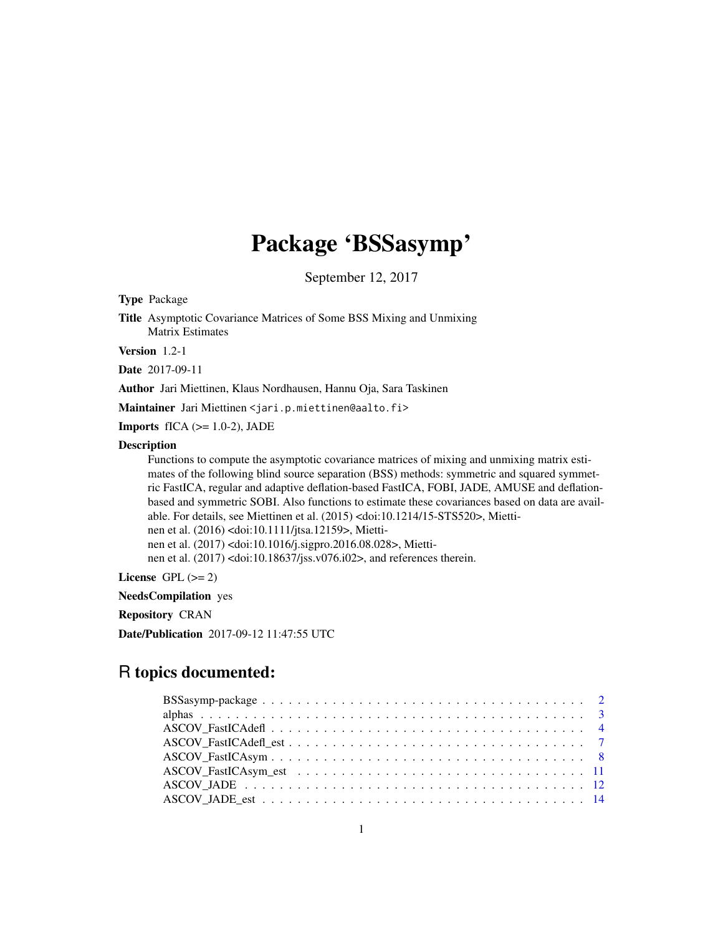# Package 'BSSasymp'

September 12, 2017

<span id="page-0-0"></span>Type Package

Title Asymptotic Covariance Matrices of Some BSS Mixing and Unmixing Matrix Estimates

Version 1.2-1

Date 2017-09-11

Author Jari Miettinen, Klaus Nordhausen, Hannu Oja, Sara Taskinen

Maintainer Jari Miettinen <jari.p.miettinen@aalto.fi>

**Imports** fICA  $(>= 1.0-2)$ , JADE

#### **Description**

Functions to compute the asymptotic covariance matrices of mixing and unmixing matrix estimates of the following blind source separation (BSS) methods: symmetric and squared symmetric FastICA, regular and adaptive deflation-based FastICA, FOBI, JADE, AMUSE and deflationbased and symmetric SOBI. Also functions to estimate these covariances based on data are available. For details, see Miettinen et al. (2015) <doi:10.1214/15-STS520>, Miettinen et al. (2016) <doi:10.1111/jtsa.12159>, Miettinen et al. (2017) <doi:10.1016/j.sigpro.2016.08.028>, Miettinen et al. (2017) <doi:10.18637/jss.v076.i02>, and references therein.

License GPL  $(>= 2)$ 

NeedsCompilation yes

Repository CRAN

Date/Publication 2017-09-12 11:47:55 UTC

# R topics documented: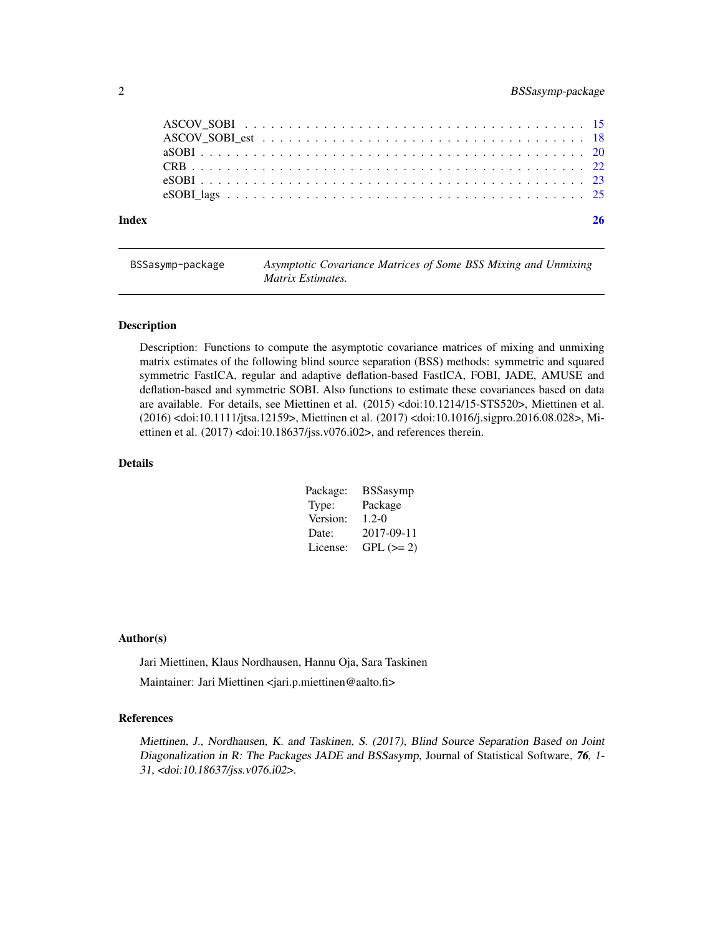<span id="page-1-0"></span>

| Index |  |
|-------|--|
|       |  |
|       |  |
|       |  |
|       |  |
|       |  |
|       |  |

BSSasymp-package *Asymptotic Covariance Matrices of Some BSS Mixing and Unmixing Matrix Estimates.*

# **Description**

Description: Functions to compute the asymptotic covariance matrices of mixing and unmixing matrix estimates of the following blind source separation (BSS) methods: symmetric and squared symmetric FastICA, regular and adaptive deflation-based FastICA, FOBI, JADE, AMUSE and deflation-based and symmetric SOBI. Also functions to estimate these covariances based on data are available. For details, see Miettinen et al. (2015) <doi:10.1214/15-STS520>, Miettinen et al. (2016) <doi:10.1111/jtsa.12159>, Miettinen et al. (2017) <doi:10.1016/j.sigpro.2016.08.028>, Miettinen et al. (2017) <doi:10.18637/jss.v076.i02>, and references therein.

#### Details

| Package: | <b>BSSasymp</b> |
|----------|-----------------|
| Type:    | Package         |
| Version: | $1.2 - 0$       |
| Date:    | 2017-09-11      |
| License: | $GPL (=2)$      |

#### Author(s)

Jari Miettinen, Klaus Nordhausen, Hannu Oja, Sara Taskinen

Maintainer: Jari Miettinen <jari.p.miettinen@aalto.fi>

#### References

Miettinen, J., Nordhausen, K. and Taskinen, S. (2017), Blind Source Separation Based on Joint Diagonalization in R: The Packages JADE and BSSasymp, Journal of Statistical Software, 76, 1-31, <doi:10.18637/jss.v076.i02>.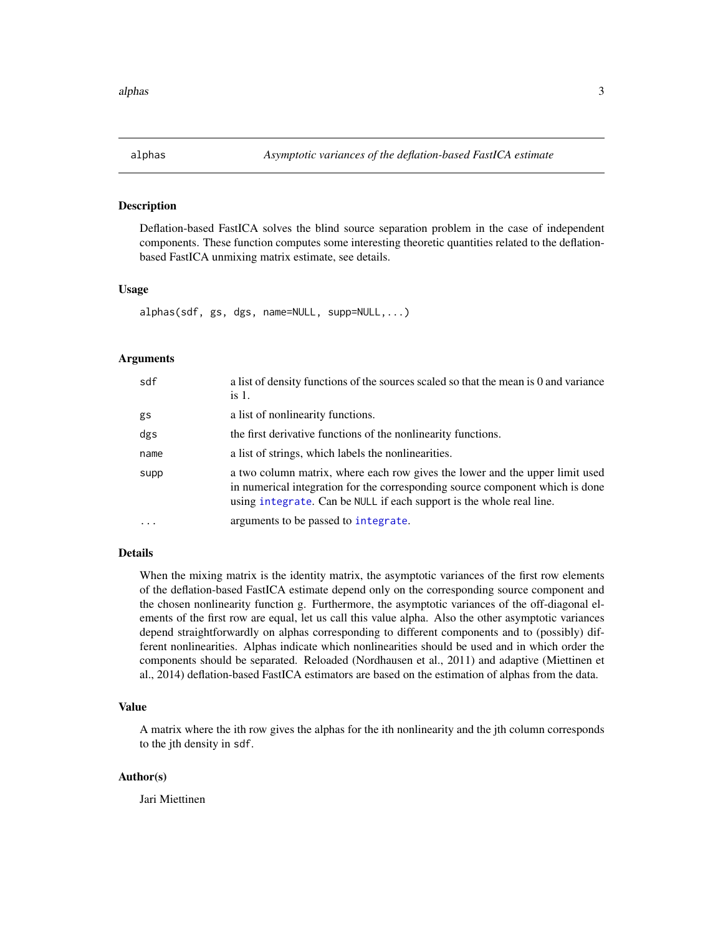<span id="page-2-0"></span>

# Description

Deflation-based FastICA solves the blind source separation problem in the case of independent components. These function computes some interesting theoretic quantities related to the deflationbased FastICA unmixing matrix estimate, see details.

#### Usage

alphas(sdf, gs, dgs, name=NULL, supp=NULL,...)

# Arguments

| sdf     | a list of density functions of the sources scaled so that the mean is 0 and variance<br>is 1.                                                                                                                                         |
|---------|---------------------------------------------------------------------------------------------------------------------------------------------------------------------------------------------------------------------------------------|
| gs      | a list of nonlinearity functions.                                                                                                                                                                                                     |
| dgs     | the first derivative functions of the nonlinearity functions.                                                                                                                                                                         |
| name    | a list of strings, which labels the nonlinearities.                                                                                                                                                                                   |
| supp    | a two column matrix, where each row gives the lower and the upper limit used<br>in numerical integration for the corresponding source component which is done<br>using integrate. Can be NULL if each support is the whole real line. |
| $\cdot$ | arguments to be passed to integrate.                                                                                                                                                                                                  |

# Details

When the mixing matrix is the identity matrix, the asymptotic variances of the first row elements of the deflation-based FastICA estimate depend only on the corresponding source component and the chosen nonlinearity function g. Furthermore, the asymptotic variances of the off-diagonal elements of the first row are equal, let us call this value alpha. Also the other asymptotic variances depend straightforwardly on alphas corresponding to different components and to (possibly) different nonlinearities. Alphas indicate which nonlinearities should be used and in which order the components should be separated. Reloaded (Nordhausen et al., 2011) and adaptive (Miettinen et al., 2014) deflation-based FastICA estimators are based on the estimation of alphas from the data.

# Value

A matrix where the ith row gives the alphas for the ith nonlinearity and the jth column corresponds to the jth density in sdf.

#### Author(s)

Jari Miettinen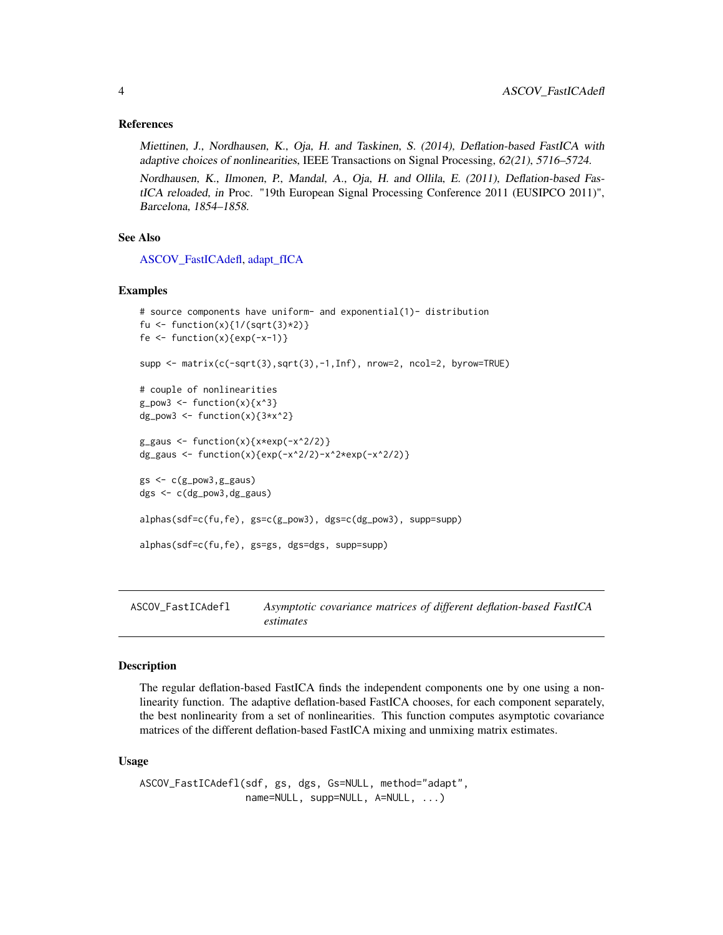# <span id="page-3-0"></span>References

Miettinen, J., Nordhausen, K., Oja, H. and Taskinen, S. (2014), Deflation-based FastICA with adaptive choices of nonlinearities, IEEE Transactions on Signal Processing, 62(21), 5716–5724.

Nordhausen, K., Ilmonen, P., Mandal, A., Oja, H. and Ollila, E. (2011), Deflation-based FastICA reloaded, in Proc. "19th European Signal Processing Conference 2011 (EUSIPCO 2011)", Barcelona, 1854–1858.

# See Also

[ASCOV\\_FastICAdefl,](#page-3-1) [adapt\\_fICA](#page-0-0)

#### Examples

```
# source components have uniform- and exponential(1)- distribution
fu <- function(x){1/(sqrt(3)*2)}
fe \leftarrow function(x){exp(-x-1)}
supp <- matrix(c(-sqrt(3),sqrt(3),-1,Inf), nrow=2, ncol=2, byrow=TRUE)
# couple of nonlinearities
g_{p}ow3 <- function(x){x^3}
dg_pow3 \leftarrow function(x)\{3*x^2\}g_{gg}aus <- function(x){x*exp(-x^2/2)}
dg_gaus <- function(x){exp(-x^2/2)-x^2*exp(-x^2/2)}
gs < -c(g_{pow3}, g_{gaws})dgs <- c(dg_pow3,dg_gaus)
alphas(sdf=c(fu,fe), gs=c(g_pow3), dgs=c(dg_pow3), supp=supp)
alphas(sdf=c(fu,fe), gs=gs, dgs=dgs, supp=supp)
```
<span id="page-3-1"></span>ASCOV\_FastICAdefl *Asymptotic covariance matrices of different deflation-based FastICA estimates*

#### Description

The regular deflation-based FastICA finds the independent components one by one using a nonlinearity function. The adaptive deflation-based FastICA chooses, for each component separately, the best nonlinearity from a set of nonlinearities. This function computes asymptotic covariance matrices of the different deflation-based FastICA mixing and unmixing matrix estimates.

# Usage

ASCOV\_FastICAdefl(sdf, gs, dgs, Gs=NULL, method="adapt", name=NULL, supp=NULL, A=NULL, ...)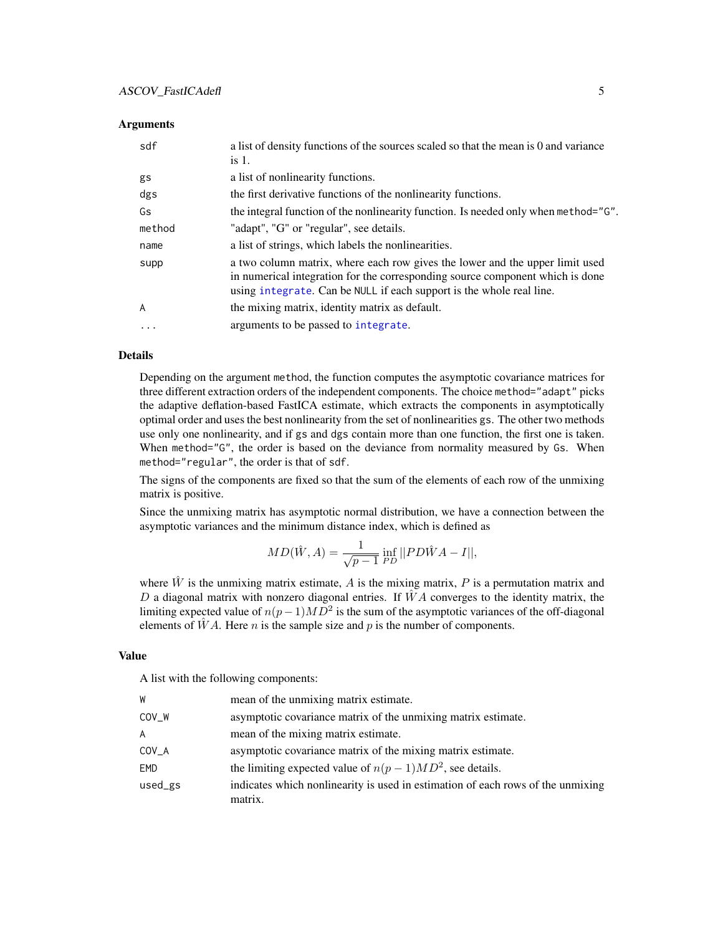#### <span id="page-4-0"></span>**Arguments**

| sdf               | a list of density functions of the sources scaled so that the mean is 0 and variance<br>is 1.                                                                                                                                         |
|-------------------|---------------------------------------------------------------------------------------------------------------------------------------------------------------------------------------------------------------------------------------|
| gs                | a list of nonlinearity functions.                                                                                                                                                                                                     |
| dgs               | the first derivative functions of the nonlinearity functions.                                                                                                                                                                         |
| Gs                | the integral function of the nonlinearity function. Is needed only when method="G".                                                                                                                                                   |
| method            | "adapt", "G" or "regular", see details.                                                                                                                                                                                               |
| name              | a list of strings, which labels the nonlinearities.                                                                                                                                                                                   |
| supp              | a two column matrix, where each row gives the lower and the upper limit used<br>in numerical integration for the corresponding source component which is done<br>using integrate. Can be NULL if each support is the whole real line. |
| A                 | the mixing matrix, identity matrix as default.                                                                                                                                                                                        |
| $\cdot\cdot\cdot$ | arguments to be passed to integrate.                                                                                                                                                                                                  |

#### Details

Depending on the argument method, the function computes the asymptotic covariance matrices for three different extraction orders of the independent components. The choice method="adapt" picks the adaptive deflation-based FastICA estimate, which extracts the components in asymptotically optimal order and uses the best nonlinearity from the set of nonlinearities gs. The other two methods use only one nonlinearity, and if gs and dgs contain more than one function, the first one is taken. When method="G", the order is based on the deviance from normality measured by Gs. When method="regular", the order is that of sdf.

The signs of the components are fixed so that the sum of the elements of each row of the unmixing matrix is positive.

Since the unmixing matrix has asymptotic normal distribution, we have a connection between the asymptotic variances and the minimum distance index, which is defined as

$$
MD(\hat{W}, A) = \frac{1}{\sqrt{p-1}} \inf_{PD} || PD\hat{W}A - I||,
$$

where  $\hat{W}$  is the unmixing matrix estimate, A is the mixing matrix, P is a permutation matrix and D a diagonal matrix with nonzero diagonal entries. If  $\hat{W}A$  converges to the identity matrix, the limiting expected value of  $n(p-1)MD^2$  is the sum of the asymptotic variances of the off-diagonal elements of  $\hat{W}A$ . Here *n* is the sample size and *p* is the number of components.

# Value

A list with the following components:

| W       | mean of the unmixing matrix estimate.                                                      |
|---------|--------------------------------------------------------------------------------------------|
| COV_W   | asymptotic covariance matrix of the unmixing matrix estimate.                              |
| A       | mean of the mixing matrix estimate.                                                        |
| COV_A   | asymptotic covariance matrix of the mixing matrix estimate.                                |
| EMD     | the limiting expected value of $n(p-1)MD^2$ , see details.                                 |
| used_gs | indicates which nonlinearity is used in estimation of each rows of the unmixing<br>matrix. |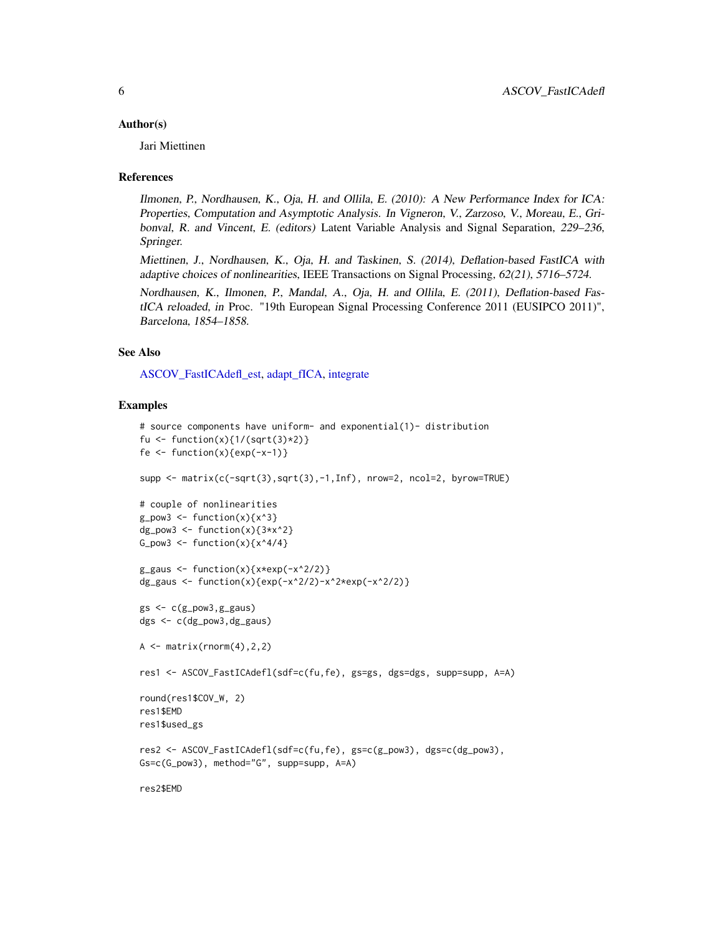#### <span id="page-5-0"></span>Author(s)

Jari Miettinen

#### References

Ilmonen, P., Nordhausen, K., Oja, H. and Ollila, E. (2010): A New Performance Index for ICA: Properties, Computation and Asymptotic Analysis. In Vigneron, V., Zarzoso, V., Moreau, E., Gribonval, R. and Vincent, E. (editors) Latent Variable Analysis and Signal Separation, 229–236, Springer.

Miettinen, J., Nordhausen, K., Oja, H. and Taskinen, S. (2014), Deflation-based FastICA with adaptive choices of nonlinearities, IEEE Transactions on Signal Processing, 62(21), 5716–5724.

Nordhausen, K., Ilmonen, P., Mandal, A., Oja, H. and Ollila, E. (2011), Deflation-based FastICA reloaded, in Proc. "19th European Signal Processing Conference 2011 (EUSIPCO 2011)", Barcelona, 1854–1858.

#### See Also

[ASCOV\\_FastICAdefl\\_est,](#page-6-1) [adapt\\_fICA,](#page-0-0) [integrate](#page-0-0)

#### Examples

```
# source components have uniform- and exponential(1)- distribution
fu <- function(x){1/(sqrt(3)*2)}
fe \leftarrow function(x){exp(-x-1)}
supp <- matrix(c(-sqrt(3),sqrt(3),-1,Inf), nrow=2, ncol=2, byrow=TRUE)
# couple of nonlinearities
g_{p}ow3 <- function(x){x^3}
dg_pow3 <- function(x){3*x^2}
G_pow3 <- function(x){x^4/4}
g_{gg}aus <- function(x){x*exp(-x^2/2)}
dg_gaus <- function(x){exp(-x^2/2)-x^2*exp(-x^2/2)}
gs < -c(g_{pow3}, g_{gaws})dgs <- c(dg_pow3,dg_gaus)
A \leq - matrix(rnorm(4), 2, 2)
res1 <- ASCOV_FastICAdefl(sdf=c(fu,fe), gs=gs, dgs=dgs, supp=supp, A=A)
round(res1$COV_W, 2)
res1$EMD
res1$used_gs
res2 <- ASCOV_FastICAdefl(sdf=c(fu,fe), gs=c(g_pow3), dgs=c(dg_pow3),
Gs=c(G_pow3), method="G", supp=supp, A=A)
```
res2\$EMD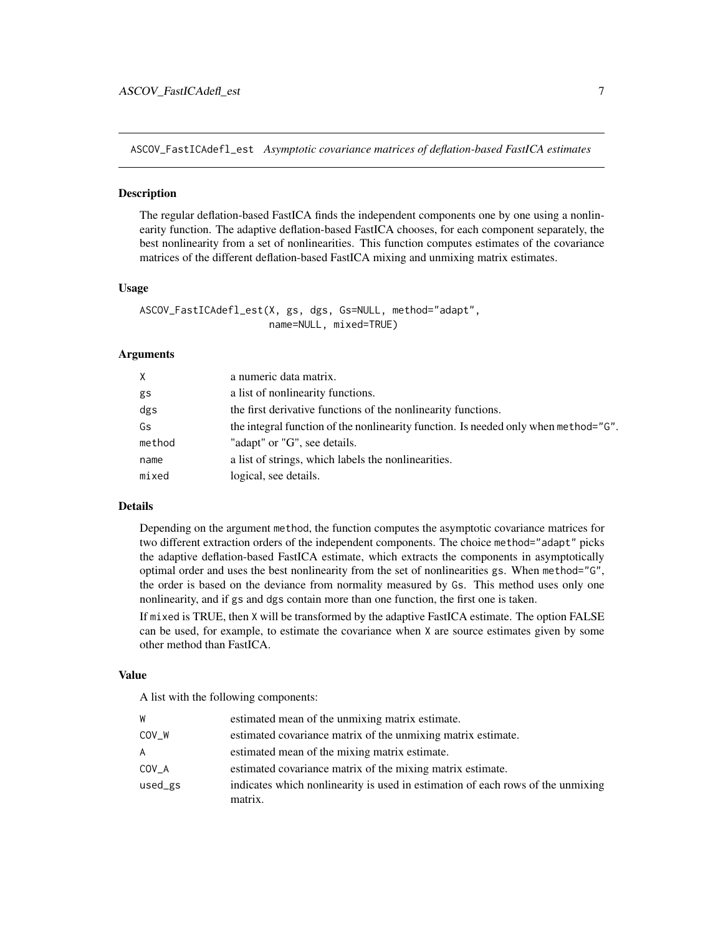<span id="page-6-1"></span><span id="page-6-0"></span>ASCOV\_FastICAdefl\_est *Asymptotic covariance matrices of deflation-based FastICA estimates*

# **Description**

The regular deflation-based FastICA finds the independent components one by one using a nonlinearity function. The adaptive deflation-based FastICA chooses, for each component separately, the best nonlinearity from a set of nonlinearities. This function computes estimates of the covariance matrices of the different deflation-based FastICA mixing and unmixing matrix estimates.

#### Usage

ASCOV\_FastICAdefl\_est(X, gs, dgs, Gs=NULL, method="adapt", name=NULL, mixed=TRUE)

#### Arguments

| X      | a numeric data matrix.                                                              |
|--------|-------------------------------------------------------------------------------------|
| gs     | a list of nonlinearity functions.                                                   |
| dgs    | the first derivative functions of the nonlinearity functions.                       |
| Gs     | the integral function of the nonlinearity function. Is needed only when method="G". |
| method | "adapt" or "G", see details.                                                        |
| name   | a list of strings, which labels the nonlinearities.                                 |
| mixed  | logical, see details.                                                               |

#### Details

Depending on the argument method, the function computes the asymptotic covariance matrices for two different extraction orders of the independent components. The choice method="adapt" picks the adaptive deflation-based FastICA estimate, which extracts the components in asymptotically optimal order and uses the best nonlinearity from the set of nonlinearities gs. When method="G", the order is based on the deviance from normality measured by Gs. This method uses only one nonlinearity, and if gs and dgs contain more than one function, the first one is taken.

If mixed is TRUE, then X will be transformed by the adaptive FastICA estimate. The option FALSE can be used, for example, to estimate the covariance when X are source estimates given by some other method than FastICA.

# Value

A list with the following components:

| W       | estimated mean of the unmixing matrix estimate.                                 |
|---------|---------------------------------------------------------------------------------|
| COV W   | estimated covariance matrix of the unmixing matrix estimate.                    |
| A       | estimated mean of the mixing matrix estimate.                                   |
| COV A   | estimated covariance matrix of the mixing matrix estimate.                      |
| used_gs | indicates which nonlinearity is used in estimation of each rows of the unmixing |
|         | matrix.                                                                         |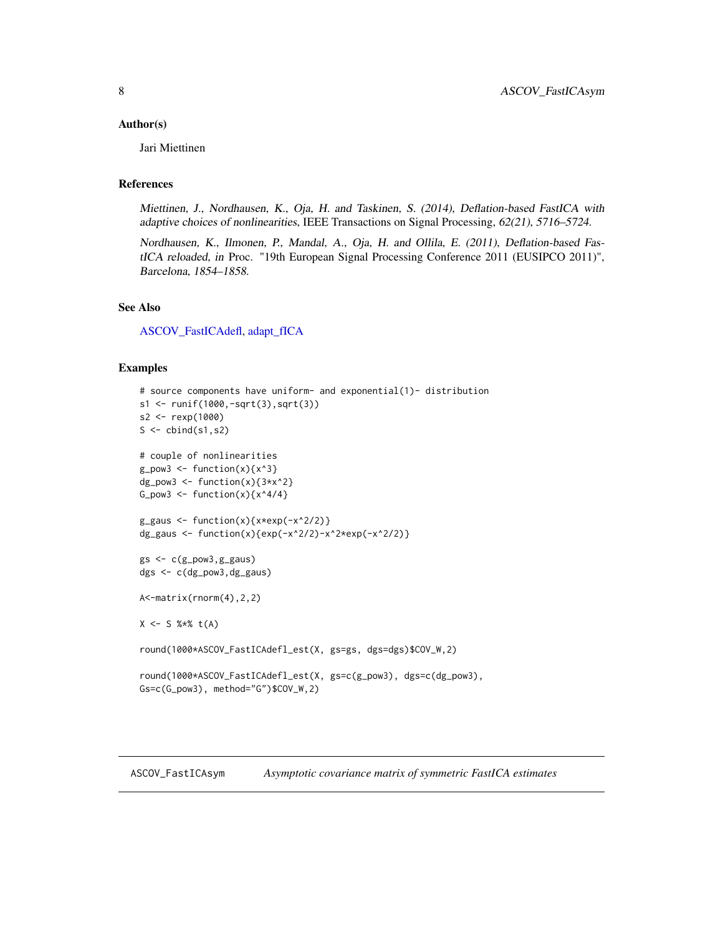#### <span id="page-7-0"></span>Author(s)

Jari Miettinen

# References

Miettinen, J., Nordhausen, K., Oja, H. and Taskinen, S. (2014), Deflation-based FastICA with adaptive choices of nonlinearities, IEEE Transactions on Signal Processing, 62(21), 5716–5724.

Nordhausen, K., Ilmonen, P., Mandal, A., Oja, H. and Ollila, E. (2011), Deflation-based FastICA reloaded, in Proc. "19th European Signal Processing Conference 2011 (EUSIPCO 2011)", Barcelona, 1854–1858.

# See Also

[ASCOV\\_FastICAdefl,](#page-3-1) [adapt\\_fICA](#page-0-0)

### Examples

```
# source components have uniform- and exponential(1)- distribution
s1 <- runif(1000,-sqrt(3),sqrt(3))
s2 <- rexp(1000)
S \leftarrow \text{cbind}(s1, s2)# couple of nonlinearities
g_{pow3} \leftarrow function(x) {x^3}dg_pow3 <- function(x){3*x^2}
G_pow3 <- function(x){x^4/4}
g_{gg}aus <- function(x){x*exp(-x^2/2)}
dg_gaus <- function(x){exp(-x^2/2)-x^2*exp(-x^2/2)}
gs < -c(g_{pow3}, g_{gaws})dgs <- c(dg_pow3,dg_gaus)
A<-matrix(rnorm(4),2,2)
X \le - S %*% t(A)round(1000*ASCOV_FastICAdefl_est(X, gs=gs, dgs=dgs)$COV_W,2)
round(1000*ASCOV_FastICAdefl_est(X, gs=c(g_pow3), dgs=c(dg_pow3),
Gs=c(G_pow3), method="G")$COV_W,2)
```
<span id="page-7-1"></span>ASCOV\_FastICAsym *Asymptotic covariance matrix of symmetric FastICA estimates*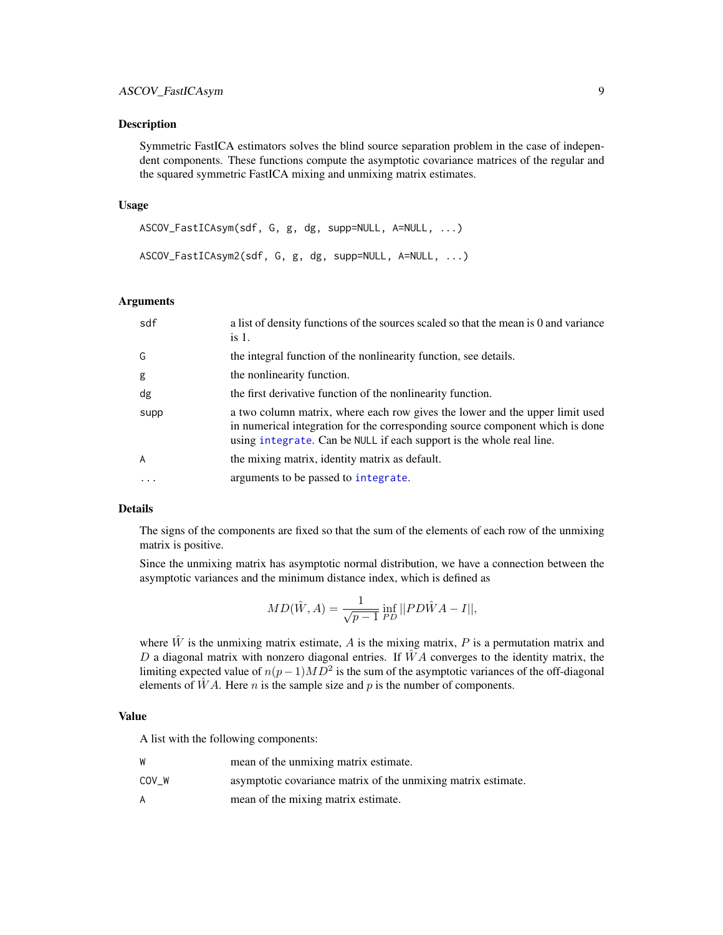#### <span id="page-8-0"></span>**Description**

Symmetric FastICA estimators solves the blind source separation problem in the case of independent components. These functions compute the asymptotic covariance matrices of the regular and the squared symmetric FastICA mixing and unmixing matrix estimates.

#### Usage

```
ASCOV_FastICAsym(sdf, G, g, dg, supp=NULL, A=NULL, ...)
ASCOV_FastICAsym2(sdf, G, g, dg, supp=NULL, A=NULL, ...)
```
#### Arguments

| sdf            | a list of density functions of the sources scaled so that the mean is 0 and variance<br>is 1.                                                                                                                                         |
|----------------|---------------------------------------------------------------------------------------------------------------------------------------------------------------------------------------------------------------------------------------|
| G              | the integral function of the nonlinearity function, see details.                                                                                                                                                                      |
| g              | the nonlinearity function.                                                                                                                                                                                                            |
| dg             | the first derivative function of the nonlinearity function.                                                                                                                                                                           |
| supp           | a two column matrix, where each row gives the lower and the upper limit used<br>in numerical integration for the corresponding source component which is done<br>using integrate. Can be NULL if each support is the whole real line. |
| $\overline{A}$ | the mixing matrix, identity matrix as default.                                                                                                                                                                                        |
| $\ddotsc$      | arguments to be passed to integrate.                                                                                                                                                                                                  |

# Details

The signs of the components are fixed so that the sum of the elements of each row of the unmixing matrix is positive.

Since the unmixing matrix has asymptotic normal distribution, we have a connection between the asymptotic variances and the minimum distance index, which is defined as

$$
MD(\hat{W}, A) = \frac{1}{\sqrt{p-1}} \inf_{PD} || PD\hat{W}A - I||,
$$

where  $\hat{W}$  is the unmixing matrix estimate, A is the mixing matrix, P is a permutation matrix and D a diagonal matrix with nonzero diagonal entries. If  $\ddot{W}A$  converges to the identity matrix, the limiting expected value of  $n(p-1)MD^2$  is the sum of the asymptotic variances of the off-diagonal elements of  $\hat{W}A$ . Here *n* is the sample size and *p* is the number of components.

#### Value

A list with the following components:

| W     | mean of the unmixing matrix estimate.                         |
|-------|---------------------------------------------------------------|
| COV W | asymptotic covariance matrix of the unmixing matrix estimate. |
| A     | mean of the mixing matrix estimate.                           |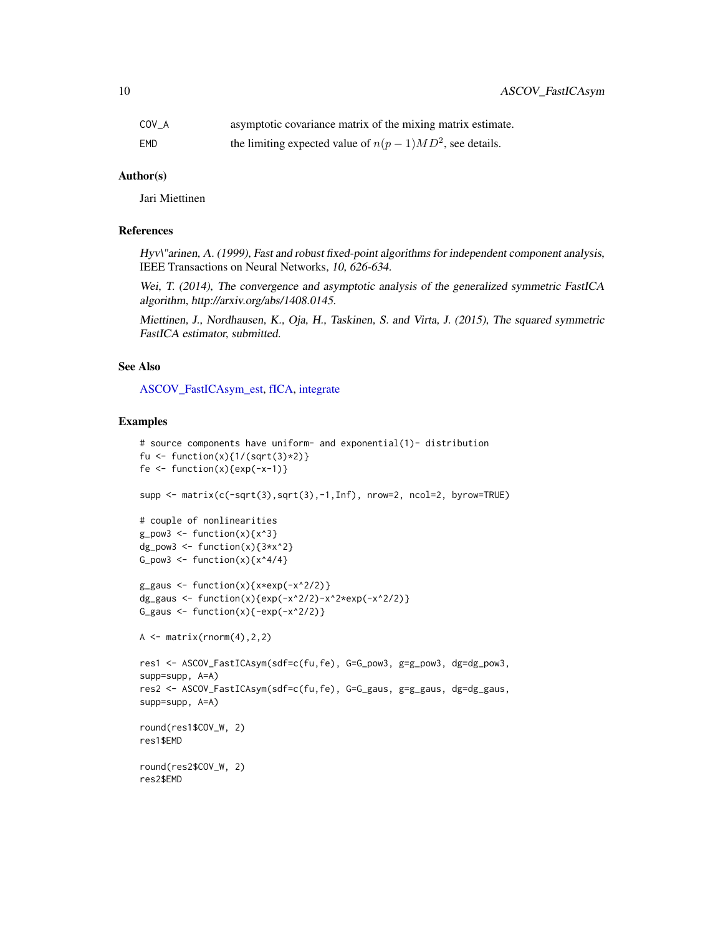<span id="page-9-0"></span>

| COV A | asymptotic covariance matrix of the mixing matrix estimate. |
|-------|-------------------------------------------------------------|
| EMD   | the limiting expected value of $n(p-1)MD^2$ , see details.  |

# Author(s)

Jari Miettinen

# References

Hyv\"arinen, A. (1999), Fast and robust fixed-point algorithms for independent component analysis, IEEE Transactions on Neural Networks, 10, 626-634.

Wei, T. (2014), The convergence and asymptotic analysis of the generalized symmetric FastICA algorithm, http://arxiv.org/abs/1408.0145.

Miettinen, J., Nordhausen, K., Oja, H., Taskinen, S. and Virta, J. (2015), The squared symmetric FastICA estimator, submitted.

# See Also

[ASCOV\\_FastICAsym\\_est,](#page-10-1) [fICA,](#page-0-0) [integrate](#page-0-0)

# Examples

```
# source components have uniform- and exponential(1)- distribution
fu <- function(x){1/(sqrt(3)*2)}
fe \leftarrow function(x){exp(-x-1)}
supp <- matrix(c(-sqrt(3),sqrt(3),-1,Inf), nrow=2, ncol=2, byrow=TRUE)
# couple of nonlinearities
g_{p}ow3 <- function(x){x^3}
dg_pow3 \leq function(x)\{3*x^2\}G_pow3 <- function(x){x^4/4}
g_{gg}aus <- function(x){x*exp(-x^2/2)}
dg_gaus <- function(x){exp(-x^2/2)-x^2*exp(-x^2/2)}
G_gaus \leftarrow function(x){-exp(-x^2/2)}
A \leftarrow matrix(rnorm(4), 2, 2)res1 <- ASCOV_FastICAsym(sdf=c(fu,fe), G=G_pow3, g=g_pow3, dg=dg_pow3,
supp=supp, A=A)
res2 <- ASCOV_FastICAsym(sdf=c(fu,fe), G=G_gaus, g=g_gaus, dg=dg_gaus,
supp=supp, A=A)
round(res1$COV_W, 2)
res1$EMD
round(res2$COV_W, 2)
res2$EMD
```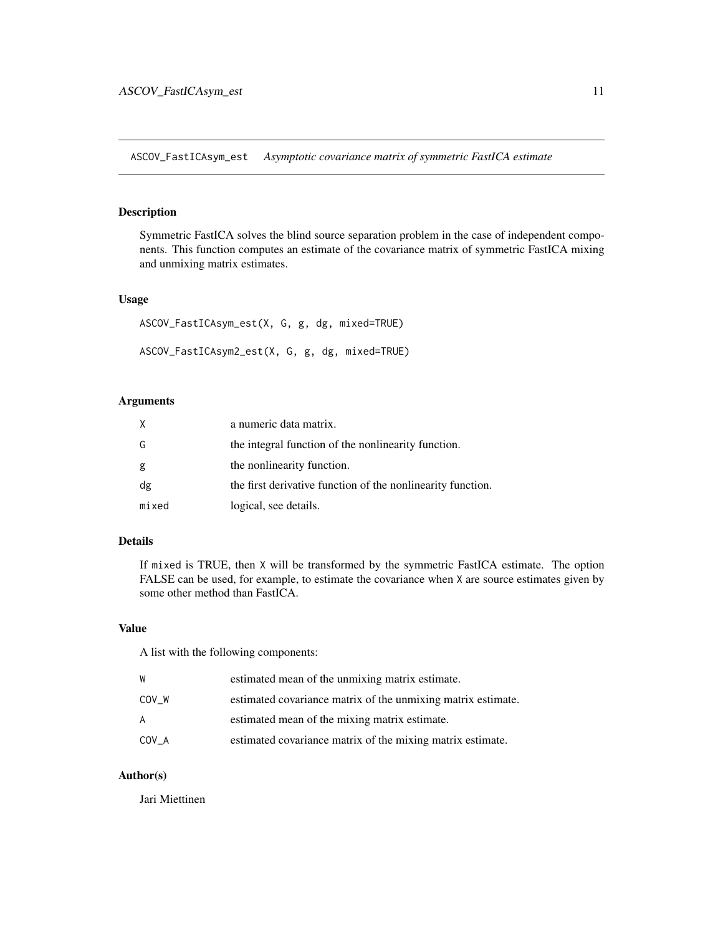<span id="page-10-1"></span><span id="page-10-0"></span>ASCOV\_FastICAsym\_est *Asymptotic covariance matrix of symmetric FastICA estimate*

#### Description

Symmetric FastICA solves the blind source separation problem in the case of independent components. This function computes an estimate of the covariance matrix of symmetric FastICA mixing and unmixing matrix estimates.

#### Usage

```
ASCOV_FastICAsym_est(X, G, g, dg, mixed=TRUE)
ASCOV_FastICAsym2_est(X, G, g, dg, mixed=TRUE)
```
#### Arguments

| X     | a numeric data matrix.                                      |
|-------|-------------------------------------------------------------|
| G     | the integral function of the nonlinearity function.         |
| g     | the nonlinearity function.                                  |
| dg    | the first derivative function of the nonlinearity function. |
| mixed | logical, see details.                                       |

#### Details

If mixed is TRUE, then X will be transformed by the symmetric FastICA estimate. The option FALSE can be used, for example, to estimate the covariance when X are source estimates given by some other method than FastICA.

# Value

A list with the following components:

| W     | estimated mean of the unmixing matrix estimate.              |
|-------|--------------------------------------------------------------|
| COV W | estimated covariance matrix of the unmixing matrix estimate. |
| A     | estimated mean of the mixing matrix estimate.                |
| COV A | estimated covariance matrix of the mixing matrix estimate.   |

#### Author(s)

Jari Miettinen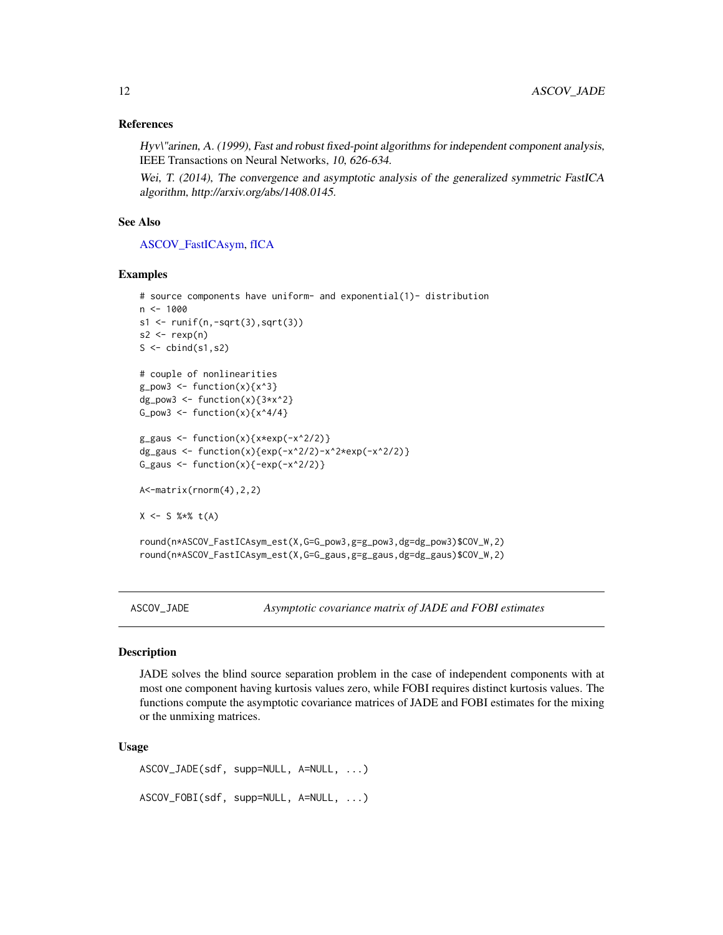# <span id="page-11-0"></span>References

Hyv\"arinen, A. (1999), Fast and robust fixed-point algorithms for independent component analysis, IEEE Transactions on Neural Networks, 10, 626-634.

Wei, T. (2014), The convergence and asymptotic analysis of the generalized symmetric FastICA algorithm, http://arxiv.org/abs/1408.0145.

#### See Also

[ASCOV\\_FastICAsym,](#page-7-1) [fICA](#page-0-0)

#### Examples

```
# source components have uniform- and exponential(1)- distribution
n < -1000s1 \leftarrow runif(n,-sqrt(3),sqrt(3))s2 \leq -\text{resp}(n)S \leftarrow \text{cbind}(s1, s2)# couple of nonlinearities
g_{p}ow3 <- function(x){x^3}
dg_pow3 <- function(x){3*x^2}
G_pow3 <- function(x){x^4/4}
g_{gaus} \leftarrow function(x){x*exp(-x^2/2)}
dg_gaus <- function(x){exp(-x^2/2)-x^2*exp(-x^2/2)}
G_gaus \leftarrow function(x){-exp(-x^2/2)}
A<-matrix(rnorm(4),2,2)
X \le - S %*% t(A)round(n*ASCOV_FastICAsym_est(X,G=G_pow3,g=g_pow3,dg=dg_pow3)$COV_W,2)
round(n*ASCOV_FastICAsym_est(X,G=G_gaus,g=g_gaus,dg=dg_gaus)$COV_W,2)
```
<span id="page-11-1"></span>ASCOV\_JADE *Asymptotic covariance matrix of JADE and FOBI estimates*

#### <span id="page-11-2"></span>Description

JADE solves the blind source separation problem in the case of independent components with at most one component having kurtosis values zero, while FOBI requires distinct kurtosis values. The functions compute the asymptotic covariance matrices of JADE and FOBI estimates for the mixing or the unmixing matrices.

#### Usage

```
ASCOV_JADE(sdf, supp=NULL, A=NULL, ...)
ASCOV_FOBI(sdf, supp=NULL, A=NULL, ...)
```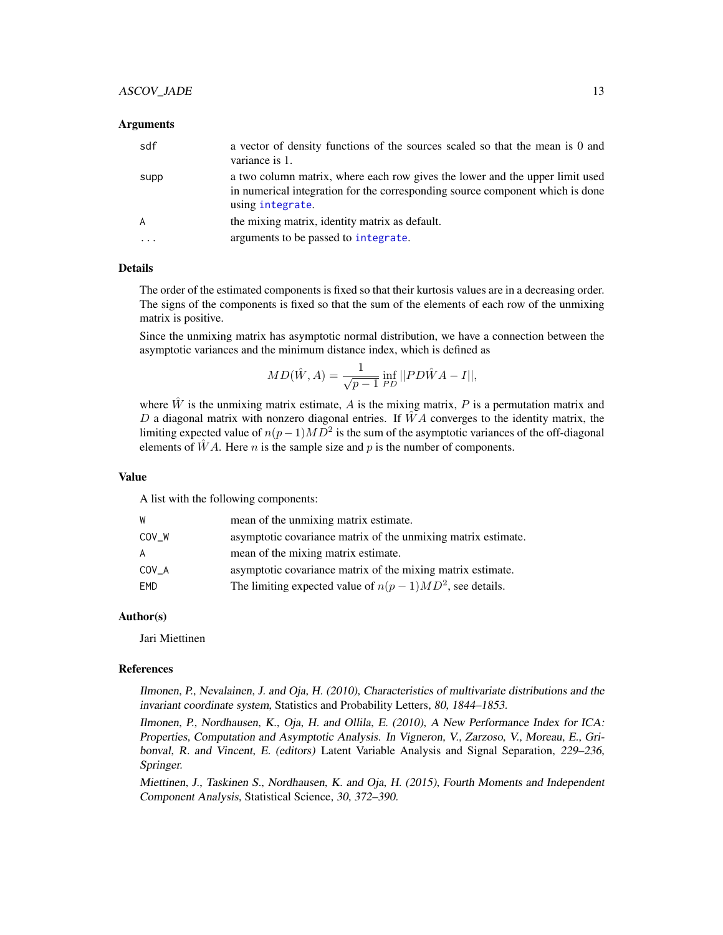# <span id="page-12-0"></span>ASCOV\_JADE 13

#### **Arguments**

| sdf  | a vector of density functions of the sources scaled so that the mean is 0 and<br>variance is 1.                                                                                   |
|------|-----------------------------------------------------------------------------------------------------------------------------------------------------------------------------------|
| supp | a two column matrix, where each row gives the lower and the upper limit used<br>in numerical integration for the corresponding source component which is done<br>using integrate. |
| A    | the mixing matrix, identity matrix as default.                                                                                                                                    |
| .    | arguments to be passed to integrate.                                                                                                                                              |

#### Details

The order of the estimated components is fixed so that their kurtosis values are in a decreasing order. The signs of the components is fixed so that the sum of the elements of each row of the unmixing matrix is positive.

Since the unmixing matrix has asymptotic normal distribution, we have a connection between the asymptotic variances and the minimum distance index, which is defined as

$$
MD(\hat{W}, A) = \frac{1}{\sqrt{p-1}} \inf_{PD} || PD\hat{W}A - I||,
$$

where  $\hat{W}$  is the unmixing matrix estimate, A is the mixing matrix, P is a permutation matrix and D a diagonal matrix with nonzero diagonal entries. If  $\hat{W}A$  converges to the identity matrix, the limiting expected value of  $n(p-1)MD^2$  is the sum of the asymptotic variances of the off-diagonal elements of  $\hat{W}A$ . Here *n* is the sample size and *p* is the number of components.

#### Value

A list with the following components:

| W     | mean of the unmixing matrix estimate.                         |
|-------|---------------------------------------------------------------|
| COV W | asymptotic covariance matrix of the unmixing matrix estimate. |
| A     | mean of the mixing matrix estimate.                           |
| COV A | asymptotic covariance matrix of the mixing matrix estimate.   |
| EMD   | The limiting expected value of $n(p-1)MD^2$ , see details.    |

#### Author(s)

Jari Miettinen

#### References

Ilmonen, P., Nevalainen, J. and Oja, H. (2010), Characteristics of multivariate distributions and the invariant coordinate system, Statistics and Probability Letters, 80, 1844–1853.

Ilmonen, P., Nordhausen, K., Oja, H. and Ollila, E. (2010), A New Performance Index for ICA: Properties, Computation and Asymptotic Analysis. In Vigneron, V., Zarzoso, V., Moreau, E., Gribonval, R. and Vincent, E. (editors) Latent Variable Analysis and Signal Separation, 229–236, Springer.

Miettinen, J., Taskinen S., Nordhausen, K. and Oja, H. (2015), Fourth Moments and Independent Component Analysis, Statistical Science, 30, 372–390.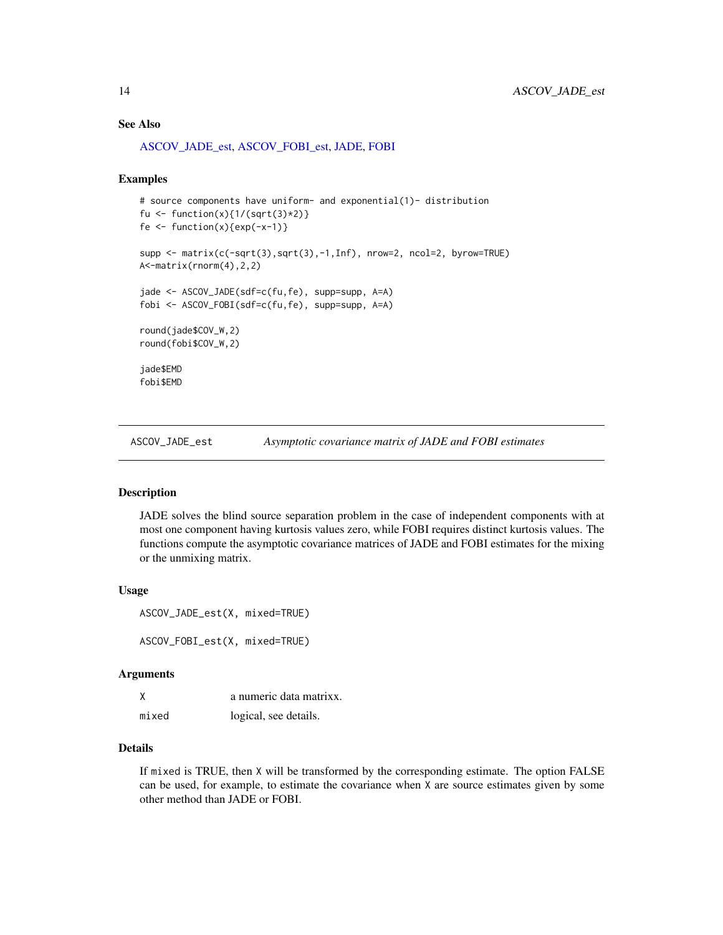#### <span id="page-13-0"></span>See Also

[ASCOV\\_JADE\\_est,](#page-13-1) [ASCOV\\_FOBI\\_est,](#page-13-2) [JADE,](#page-0-0) [FOBI](#page-0-0)

#### Examples

```
# source components have uniform- and exponential(1)- distribution
fu <- function(x){1/(sqrt(3)*2)}
fe \leftarrow function(x){exp(-x-1)}
supp <- matrix(c(-sqrt(3),sqrt(3),-1,Inf), nrow=2, ncol=2, byrow=TRUE)
A<-matrix(rnorm(4),2,2)
jade <- ASCOV_JADE(sdf=c(fu,fe), supp=supp, A=A)
fobi <- ASCOV_FOBI(sdf=c(fu,fe), supp=supp, A=A)
round(jade$COV_W,2)
round(fobi$COV_W,2)
jade$EMD
fobi$EMD
```
<span id="page-13-1"></span>ASCOV\_JADE\_est *Asymptotic covariance matrix of JADE and FOBI estimates*

# <span id="page-13-2"></span>Description

JADE solves the blind source separation problem in the case of independent components with at most one component having kurtosis values zero, while FOBI requires distinct kurtosis values. The functions compute the asymptotic covariance matrices of JADE and FOBI estimates for the mixing or the unmixing matrix.

#### Usage

ASCOV\_JADE\_est(X, mixed=TRUE)

ASCOV\_FOBI\_est(X, mixed=TRUE)

#### **Arguments**

|       | a numeric data matrixx. |
|-------|-------------------------|
| mixed | logical, see details.   |

# Details

If mixed is TRUE, then X will be transformed by the corresponding estimate. The option FALSE can be used, for example, to estimate the covariance when X are source estimates given by some other method than JADE or FOBI.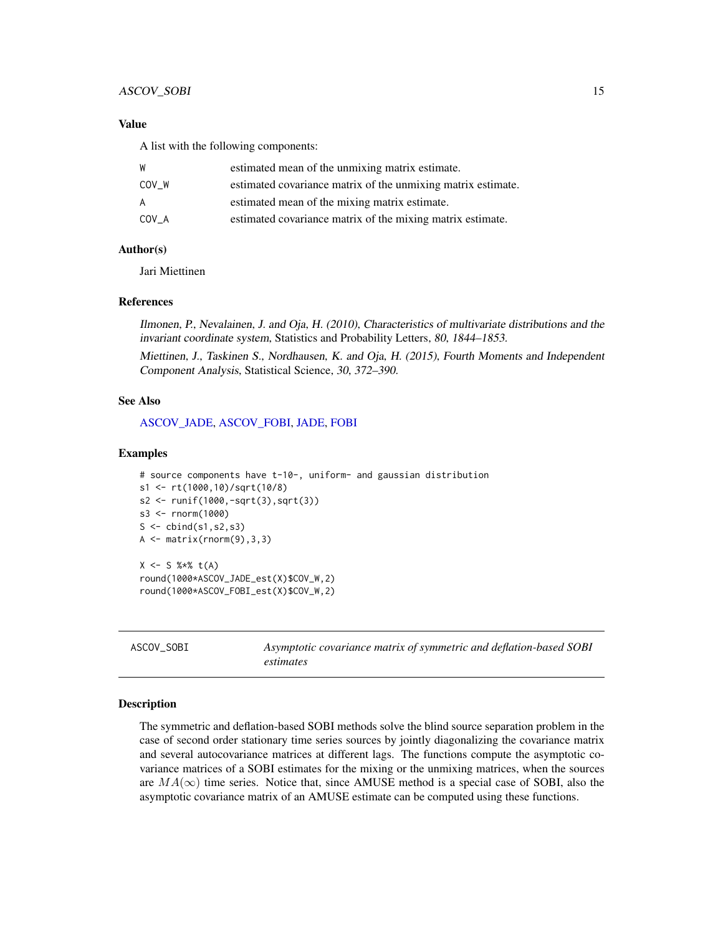#### <span id="page-14-0"></span>ASCOV\_SOBI 15

# Value

A list with the following components:

| W     | estimated mean of the unmixing matrix estimate.              |
|-------|--------------------------------------------------------------|
| COV W | estimated covariance matrix of the unmixing matrix estimate. |
| A     | estimated mean of the mixing matrix estimate.                |
| COV A | estimated covariance matrix of the mixing matrix estimate.   |

# Author(s)

Jari Miettinen

#### References

Ilmonen, P., Nevalainen, J. and Oja, H. (2010), Characteristics of multivariate distributions and the invariant coordinate system, Statistics and Probability Letters, 80, 1844–1853.

Miettinen, J., Taskinen S., Nordhausen, K. and Oja, H. (2015), Fourth Moments and Independent Component Analysis, Statistical Science, 30, 372–390.

# See Also

[ASCOV\\_JADE,](#page-11-1) [ASCOV\\_FOBI,](#page-11-2) [JADE,](#page-0-0) [FOBI](#page-0-0)

#### Examples

```
# source components have t-10-, uniform- and gaussian distribution
s1 <- rt(1000,10)/sqrt(10/8)
s2 <- runif(1000,-sqrt(3),sqrt(3))
s3 <- rnorm(1000)
S \leftarrow \text{cbind}(s1, s2, s3)A \leftarrow matrix(rnorm(9), 3, 3)X \le - S %*% t(A)round(1000*ASCOV_JADE_est(X)$COV_W,2)
round(1000*ASCOV_FOBI_est(X)$COV_W,2)
```
<span id="page-14-1"></span>ASCOV\_SOBI *Asymptotic covariance matrix of symmetric and deflation-based SOBI estimates*

#### Description

The symmetric and deflation-based SOBI methods solve the blind source separation problem in the case of second order stationary time series sources by jointly diagonalizing the covariance matrix and several autocovariance matrices at different lags. The functions compute the asymptotic covariance matrices of a SOBI estimates for the mixing or the unmixing matrices, when the sources are  $MA(\infty)$  time series. Notice that, since AMUSE method is a special case of SOBI, also the asymptotic covariance matrix of an AMUSE estimate can be computed using these functions.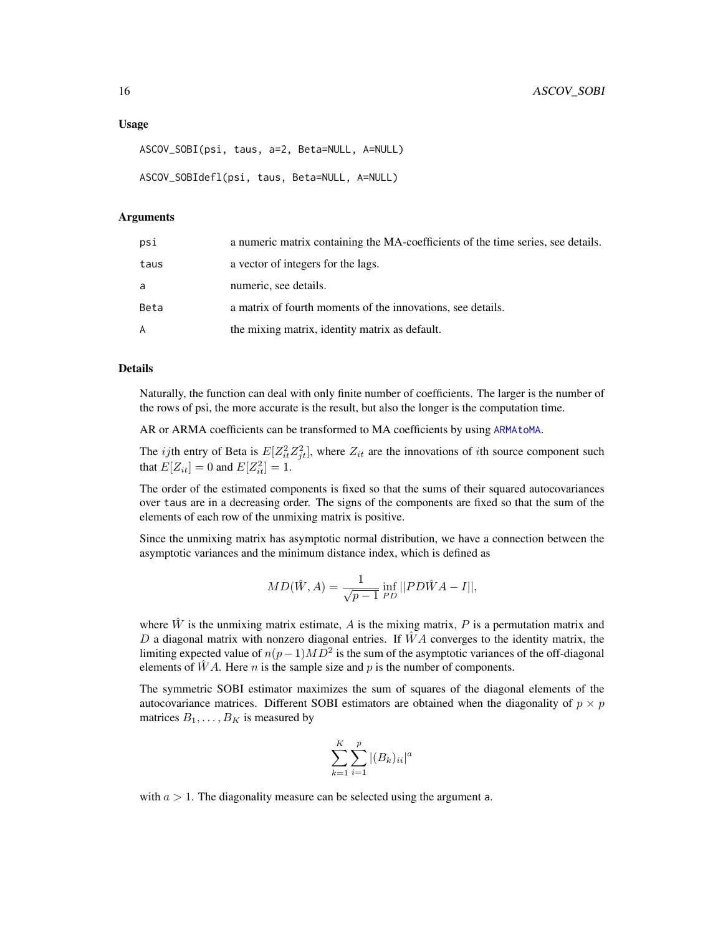#### <span id="page-15-0"></span>Usage

```
ASCOV_SOBI(psi, taus, a=2, Beta=NULL, A=NULL)
```

```
ASCOV_SOBIdefl(psi, taus, Beta=NULL, A=NULL)
```
#### Arguments

| psi  | a numeric matrix containing the MA-coefficients of the time series, see details. |
|------|----------------------------------------------------------------------------------|
| taus | a vector of integers for the lags.                                               |
| a    | numeric, see details.                                                            |
| Beta | a matrix of fourth moments of the innovations, see details.                      |
| A    | the mixing matrix, identity matrix as default.                                   |

# Details

Naturally, the function can deal with only finite number of coefficients. The larger is the number of the rows of psi, the more accurate is the result, but also the longer is the computation time.

AR or ARMA coefficients can be transformed to MA coefficients by using [ARMAtoMA](#page-0-0).

The *ij*th entry of Beta is  $E[Z_i^2 Z_{jt}^2]$ , where  $Z_{it}$  are the innovations of *i*th source component such that  $E[Z_{it}] = 0$  and  $E[Z_{it}^2] = 1$ .

The order of the estimated components is fixed so that the sums of their squared autocovariances over taus are in a decreasing order. The signs of the components are fixed so that the sum of the elements of each row of the unmixing matrix is positive.

Since the unmixing matrix has asymptotic normal distribution, we have a connection between the asymptotic variances and the minimum distance index, which is defined as

$$
MD(\hat{W}, A) = \frac{1}{\sqrt{p-1}} \inf_{PD} || PD\hat{W}A - I||,
$$

where  $\hat{W}$  is the unmixing matrix estimate, A is the mixing matrix, P is a permutation matrix and D a diagonal matrix with nonzero diagonal entries. If  $\hat{W}A$  converges to the identity matrix, the limiting expected value of  $n(p-1)MD^2$  is the sum of the asymptotic variances of the off-diagonal elements of  $\hat{W}A$ . Here *n* is the sample size and *p* is the number of components.

The symmetric SOBI estimator maximizes the sum of squares of the diagonal elements of the autocovariance matrices. Different SOBI estimators are obtained when the diagonality of  $p \times p$ matrices  $B_1, \ldots, B_K$  is measured by

$$
\sum_{k=1}^{K} \sum_{i=1}^{p} |(B_k)_{ii}|^a
$$

with  $a > 1$ . The diagonality measure can be selected using the argument a.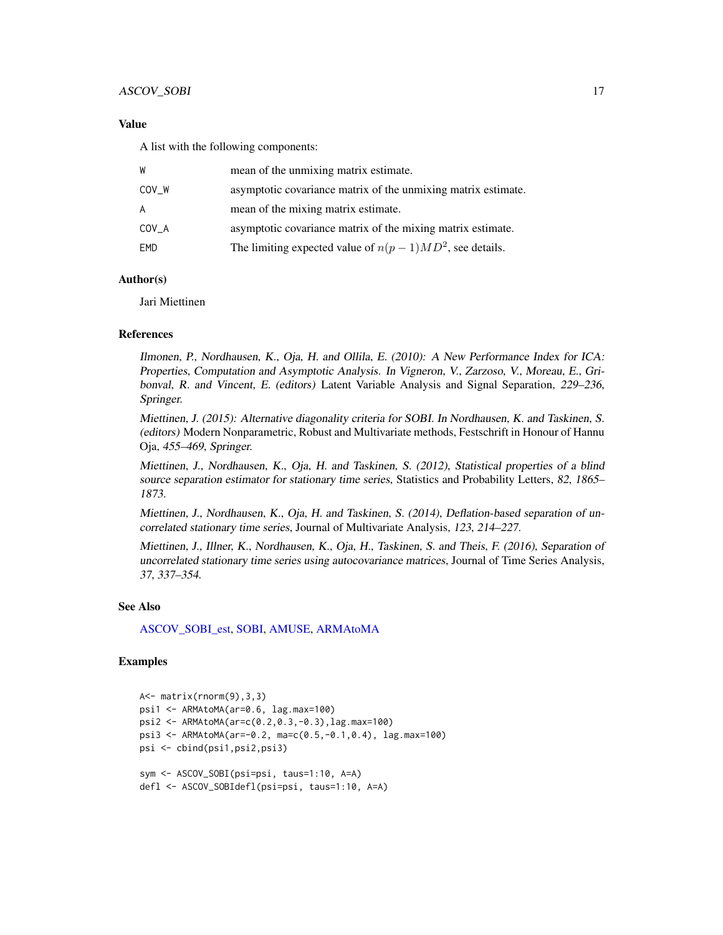# <span id="page-16-0"></span>Value

A list with the following components:

| W       | mean of the unmixing matrix estimate.                         |
|---------|---------------------------------------------------------------|
| COV_W   | asymptotic covariance matrix of the unmixing matrix estimate. |
| A       | mean of the mixing matrix estimate.                           |
| $COV_A$ | asymptotic covariance matrix of the mixing matrix estimate.   |
| EMD     | The limiting expected value of $n(p-1)MD^2$ , see details.    |

# Author(s)

Jari Miettinen

#### References

Ilmonen, P., Nordhausen, K., Oja, H. and Ollila, E. (2010): A New Performance Index for ICA: Properties, Computation and Asymptotic Analysis. In Vigneron, V., Zarzoso, V., Moreau, E., Gribonval, R. and Vincent, E. (editors) Latent Variable Analysis and Signal Separation, 229–236, Springer.

Miettinen, J. (2015): Alternative diagonality criteria for SOBI. In Nordhausen, K. and Taskinen, S. (editors) Modern Nonparametric, Robust and Multivariate methods, Festschrift in Honour of Hannu Oja, 455–469, Springer.

Miettinen, J., Nordhausen, K., Oja, H. and Taskinen, S. (2012), Statistical properties of a blind source separation estimator for stationary time series, Statistics and Probability Letters, 82, 1865– 1873.

Miettinen, J., Nordhausen, K., Oja, H. and Taskinen, S. (2014), Deflation-based separation of uncorrelated stationary time series, Journal of Multivariate Analysis, 123, 214–227.

Miettinen, J., Illner, K., Nordhausen, K., Oja, H., Taskinen, S. and Theis, F. (2016), Separation of uncorrelated stationary time series using autocovariance matrices, Journal of Time Series Analysis, 37, 337–354.

#### See Also

[ASCOV\\_SOBI\\_est,](#page-17-1) [SOBI,](#page-0-0) [AMUSE,](#page-0-0) [ARMAtoMA](#page-0-0)

# Examples

```
A<- matrix(rnorm(9),3,3)
psi1 <- ARMAtoMA(ar=0.6, lag.max=100)
psi2 <- ARMAtoMA(ar=c(0.2,0.3,-0.3),lag.max=100)
psi3 <- ARMAtoMA(ar=-0.2, ma=c(0.5,-0.1,0.4), lag.max=100)
psi <- cbind(psi1,psi2,psi3)
sym <- ASCOV_SOBI(psi=psi, taus=1:10, A=A)
defl <- ASCOV_SOBIdefl(psi=psi, taus=1:10, A=A)
```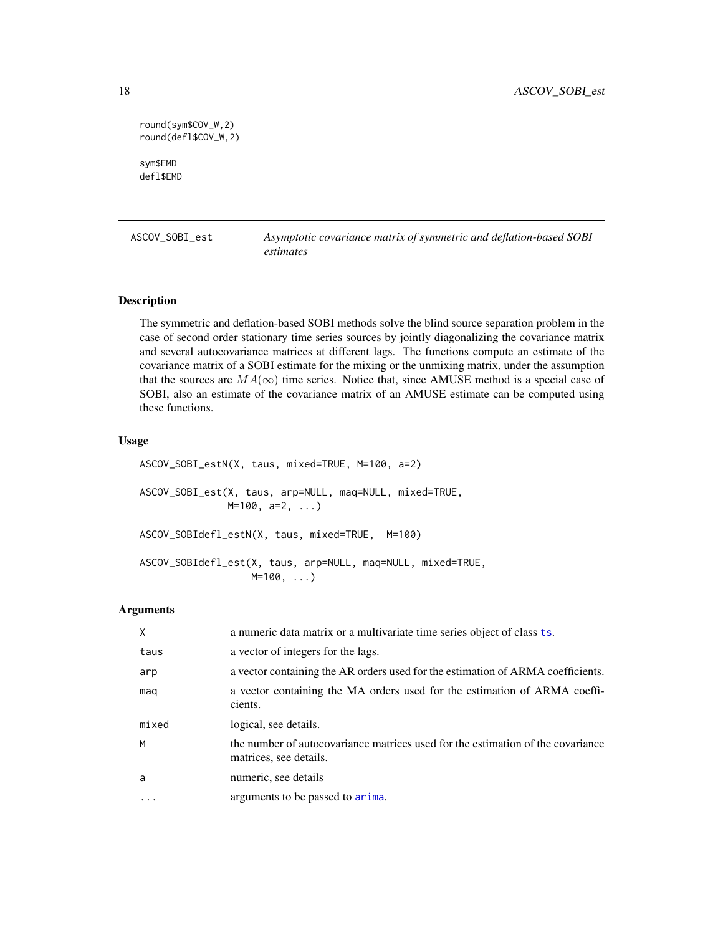```
round(sym$COV_W,2)
round(defl$COV_W,2)
sym$EMD
defl$EMD
```
<span id="page-17-1"></span>

ASCOV\_SOBI\_est *Asymptotic covariance matrix of symmetric and deflation-based SOBI estimates*

#### <span id="page-17-2"></span>Description

The symmetric and deflation-based SOBI methods solve the blind source separation problem in the case of second order stationary time series sources by jointly diagonalizing the covariance matrix and several autocovariance matrices at different lags. The functions compute an estimate of the covariance matrix of a SOBI estimate for the mixing or the unmixing matrix, under the assumption that the sources are  $MA(\infty)$  time series. Notice that, since AMUSE method is a special case of SOBI, also an estimate of the covariance matrix of an AMUSE estimate can be computed using these functions.

#### Usage

ASCOV\_SOBI\_estN(X, taus, mixed=TRUE, M=100, a=2) ASCOV\_SOBI\_est(X, taus, arp=NULL, maq=NULL, mixed=TRUE, M=100, a=2, ...) ASCOV\_SOBIdefl\_estN(X, taus, mixed=TRUE, M=100) ASCOV\_SOBIdefl\_est(X, taus, arp=NULL, maq=NULL, mixed=TRUE, M=100, ...)

#### Arguments

| X     | a numeric data matrix or a multivariate time series object of class ts.                                   |
|-------|-----------------------------------------------------------------------------------------------------------|
| taus  | a vector of integers for the lags.                                                                        |
| arp   | a vector containing the AR orders used for the estimation of ARMA coefficients.                           |
| mag   | a vector containing the MA orders used for the estimation of ARMA coeffi-<br>cients.                      |
| mixed | logical, see details.                                                                                     |
| M     | the number of autocovariance matrices used for the estimation of the covariance<br>matrices, see details. |
| a     | numeric, see details                                                                                      |
|       | arguments to be passed to arima.                                                                          |

<span id="page-17-0"></span>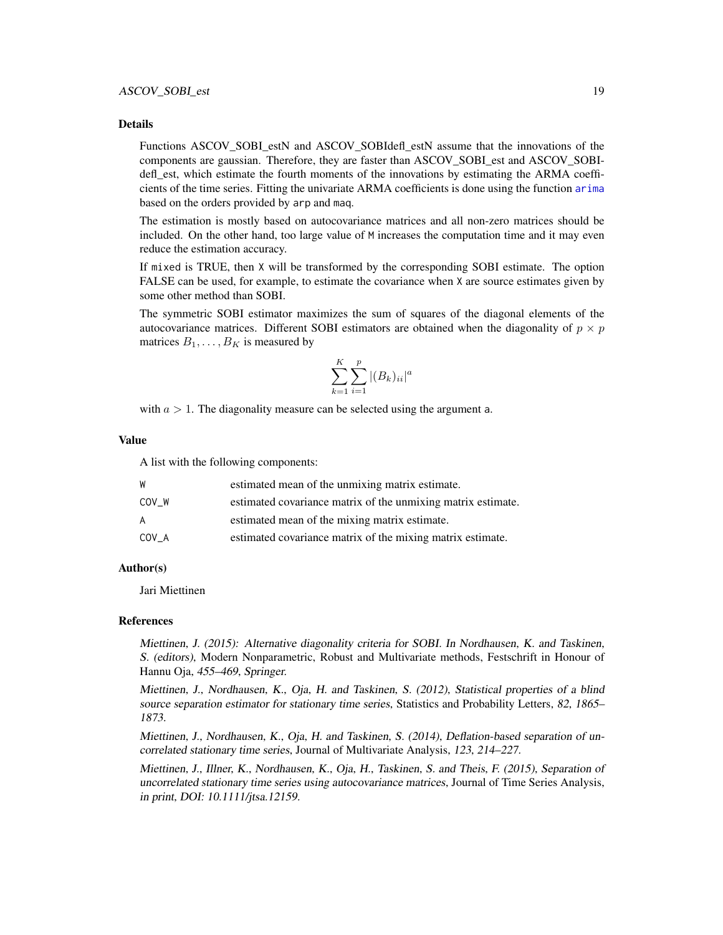#### Details

Functions ASCOV\_SOBI\_estN and ASCOV\_SOBIdefl\_estN assume that the innovations of the components are gaussian. Therefore, they are faster than ASCOV\_SOBI\_est and ASCOV\_SOBIdefl est, which estimate the fourth moments of the innovations by estimating the ARMA coefficients of the time series. Fitting the univariate ARMA coefficients is done using the function [arima](#page-0-0) based on the orders provided by arp and maq.

The estimation is mostly based on autocovariance matrices and all non-zero matrices should be included. On the other hand, too large value of M increases the computation time and it may even reduce the estimation accuracy.

If mixed is TRUE, then X will be transformed by the corresponding SOBI estimate. The option FALSE can be used, for example, to estimate the covariance when X are source estimates given by some other method than SOBI.

The symmetric SOBI estimator maximizes the sum of squares of the diagonal elements of the autocovariance matrices. Different SOBI estimators are obtained when the diagonality of  $p \times p$ matrices  $B_1, \ldots, B_K$  is measured by

$$
\sum_{k=1}^{K} \sum_{i=1}^{p} |(B_k)_{ii}|^a
$$

with  $a > 1$ . The diagonality measure can be selected using the argument a.

#### Value

A list with the following components:

| W     | estimated mean of the unmixing matrix estimate.              |
|-------|--------------------------------------------------------------|
| COV W | estimated covariance matrix of the unmixing matrix estimate. |
| A     | estimated mean of the mixing matrix estimate.                |
| COV A | estimated covariance matrix of the mixing matrix estimate.   |

# Author(s)

Jari Miettinen

#### References

Miettinen, J. (2015): Alternative diagonality criteria for SOBI. In Nordhausen, K. and Taskinen, S. (editors), Modern Nonparametric, Robust and Multivariate methods, Festschrift in Honour of Hannu Oja, 455–469, Springer.

Miettinen, J., Nordhausen, K., Oja, H. and Taskinen, S. (2012), Statistical properties of a blind source separation estimator for stationary time series, Statistics and Probability Letters, 82, 1865– 1873.

Miettinen, J., Nordhausen, K., Oja, H. and Taskinen, S. (2014), Deflation-based separation of uncorrelated stationary time series, Journal of Multivariate Analysis, 123, 214–227.

Miettinen, J., Illner, K., Nordhausen, K., Oja, H., Taskinen, S. and Theis, F. (2015), Separation of uncorrelated stationary time series using autocovariance matrices, Journal of Time Series Analysis, in print, DOI: 10.1111/jtsa.12159.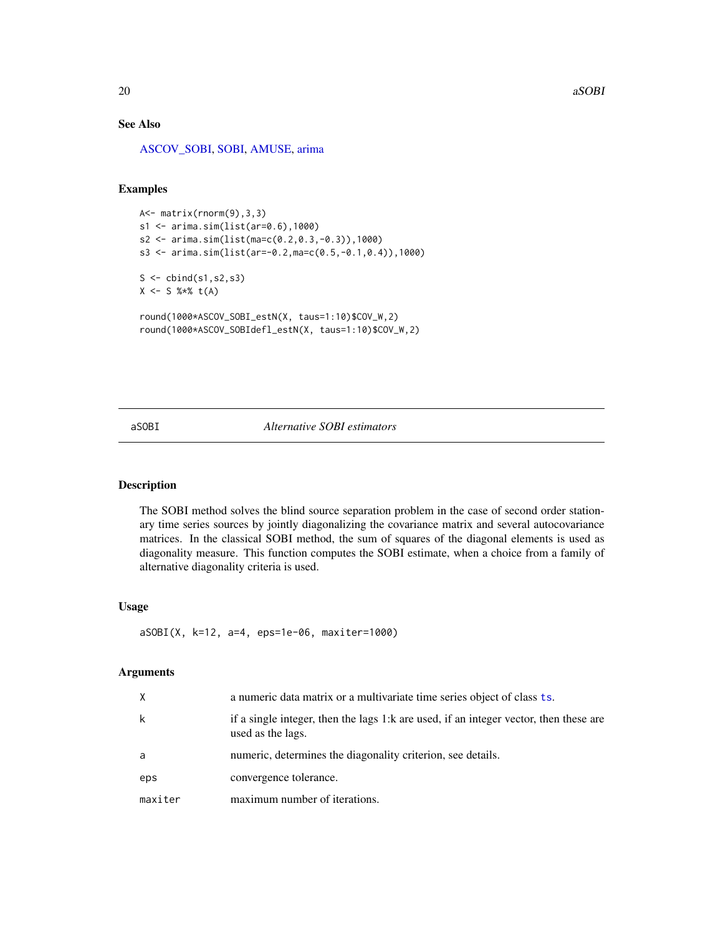# <span id="page-19-0"></span>See Also

[ASCOV\\_SOBI,](#page-14-1) [SOBI,](#page-0-0) [AMUSE,](#page-0-0) [arima](#page-0-0)

# Examples

```
A<- matrix(rnorm(9),3,3)
s1 <- arima.sim(list(ar=0.6),1000)
s2 <- arima.sim(list(ma=c(0.2,0.3,-0.3)),1000)
s3 <- arima.sim(list(ar=-0.2,ma=c(0.5,-0.1,0.4)),1000)
S \leftarrow \text{cbind}(s1, s2, s3)X <- S %*% t(A)
round(1000*ASCOV_SOBI_estN(X, taus=1:10)$COV_W,2)
round(1000*ASCOV_SOBIdefl_estN(X, taus=1:10)$COV_W,2)
```
#### aSOBI *Alternative SOBI estimators*

# Description

The SOBI method solves the blind source separation problem in the case of second order stationary time series sources by jointly diagonalizing the covariance matrix and several autocovariance matrices. In the classical SOBI method, the sum of squares of the diagonal elements is used as diagonality measure. This function computes the SOBI estimate, when a choice from a family of alternative diagonality criteria is used.

#### Usage

```
aSOBI(X, k=12, a=4, eps=1e-06, maxiter=1000)
```
#### **Arguments**

| X       | a numeric data matrix or a multivariate time series object of class ts.                                    |
|---------|------------------------------------------------------------------------------------------------------------|
| k       | if a single integer, then the lags 1:k are used, if an integer vector, then these are<br>used as the lags. |
| a       | numeric, determines the diagonality criterion, see details.                                                |
| eps     | convergence tolerance.                                                                                     |
| maxiter | maximum number of iterations.                                                                              |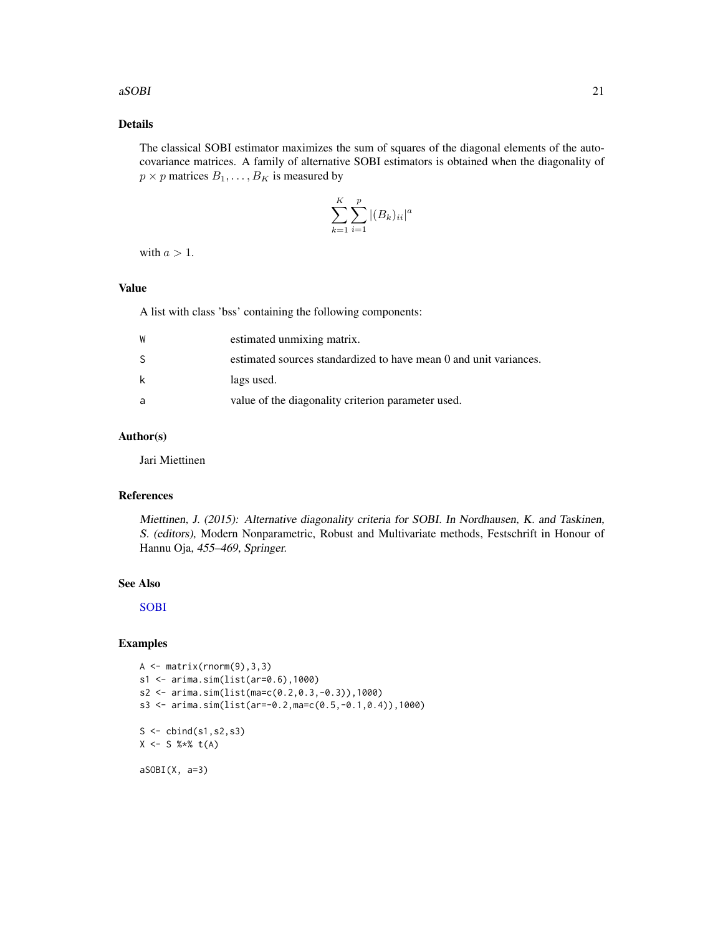#### <span id="page-20-0"></span> $aSOBI$  21

# Details

The classical SOBI estimator maximizes the sum of squares of the diagonal elements of the autocovariance matrices. A family of alternative SOBI estimators is obtained when the diagonality of  $p \times p$  matrices  $B_1, \ldots, B_K$  is measured by

$$
\sum_{k=1}^{K} \sum_{i=1}^{p} |(B_k)_{ii}|^a
$$

with  $a > 1$ .

# Value

A list with class 'bss' containing the following components:

| W            | estimated unmixing matrix.                                        |
|--------------|-------------------------------------------------------------------|
| <sub>S</sub> | estimated sources standardized to have mean 0 and unit variances. |
| k            | lags used.                                                        |
| a            | value of the diagonality criterion parameter used.                |

# Author(s)

Jari Miettinen

# References

Miettinen, J. (2015): Alternative diagonality criteria for SOBI. In Nordhausen, K. and Taskinen, S. (editors), Modern Nonparametric, Robust and Multivariate methods, Festschrift in Honour of Hannu Oja, 455–469, Springer.

# See Also

[SOBI](#page-0-0)

# Examples

```
A \leftarrow matrix(rnorm(9), 3, 3)s1 <- arima.sim(list(ar=0.6),1000)
s2 <- arima.sim(list(ma=c(0.2,0.3,-0.3)),1000)
s3 <- arima.sim(list(ar=-0.2,ma=c(0.5,-0.1,0.4)),1000)
S \leftarrow \text{cbind}(s1, s2, s3)X \le - S %*% t(A)aSOBI(X, a=3)
```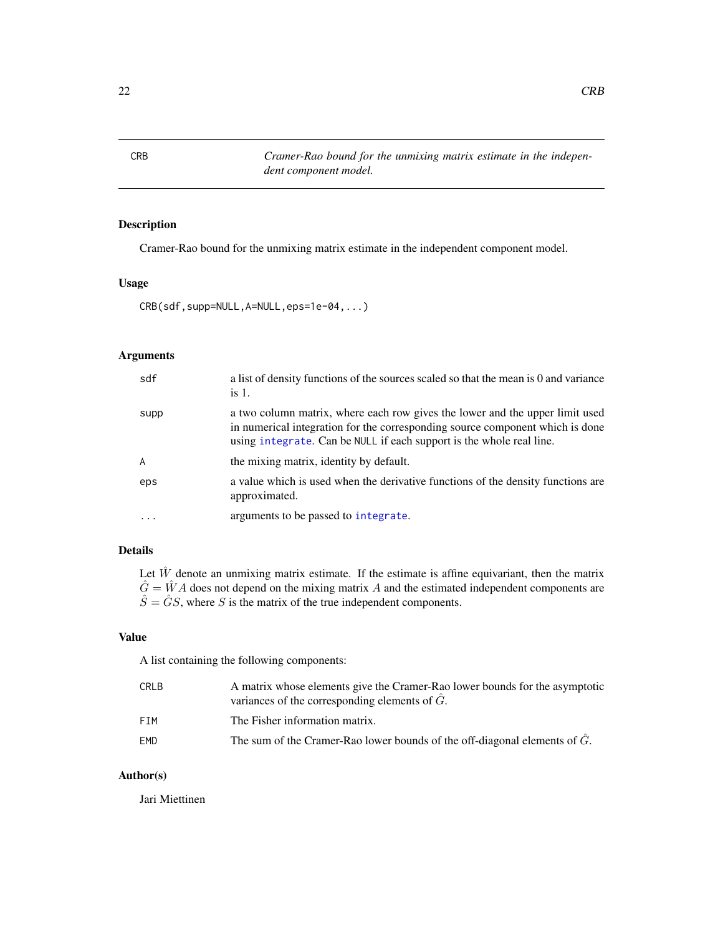<span id="page-21-0"></span>CRB *Cramer-Rao bound for the unmixing matrix estimate in the independent component model.*

# Description

Cramer-Rao bound for the unmixing matrix estimate in the independent component model.

# Usage

CRB(sdf,supp=NULL,A=NULL,eps=1e-04,...)

# Arguments

| sdf            | a list of density functions of the sources scaled so that the mean is 0 and variance<br>is $1$ .                                                                                                                                      |
|----------------|---------------------------------------------------------------------------------------------------------------------------------------------------------------------------------------------------------------------------------------|
| supp           | a two column matrix, where each row gives the lower and the upper limit used<br>in numerical integration for the corresponding source component which is done<br>using integrate. Can be NULL if each support is the whole real line. |
| $\overline{A}$ | the mixing matrix, identity by default.                                                                                                                                                                                               |
| eps            | a value which is used when the derivative functions of the density functions are<br>approximated.                                                                                                                                     |
| $\ddots$       | arguments to be passed to integrate.                                                                                                                                                                                                  |

# Details

Let  $\hat{W}$  denote an unmixing matrix estimate. If the estimate is affine equivariant, then the matrix  $\hat{G} = \hat{W}A$  does not depend on the mixing matrix A and the estimated independent components are  $\hat{S} = \hat{G}S$ , where S is the matrix of the true independent components.

# Value

A list containing the following components:

| CRLB | A matrix whose elements give the Cramer-Rao lower bounds for the asymptotic<br>variances of the corresponding elements of $\hat{G}$ . |
|------|---------------------------------------------------------------------------------------------------------------------------------------|
| FTM  | The Fisher information matrix.                                                                                                        |
| EMD  | The sum of the Cramer-Rao lower bounds of the off-diagonal elements of $\hat{G}$ .                                                    |

# Author(s)

Jari Miettinen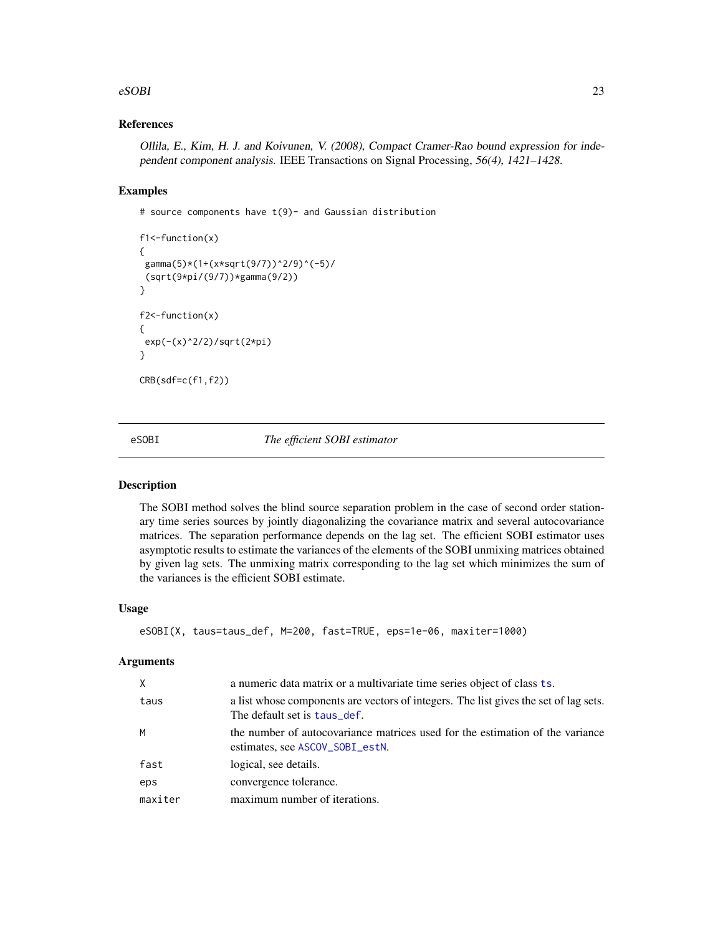#### <span id="page-22-0"></span> $eSOBI$  23

# References

Ollila, E., Kim, H. J. and Koivunen, V. (2008), Compact Cramer-Rao bound expression for independent component analysis. IEEE Transactions on Signal Processing, 56(4), 1421–1428.

#### Examples

# source components have t(9)- and Gaussian distribution

```
f1<-function(x)
{
gamma(5)*(1+(x*sqrt(9/7))^2/9)^(-5)/
(sqrt(9*pi/(9/7))*gamma(9/2))
}
f2<-function(x)
{
exp(-(x)^2/2)/sqrt(2*pi)
}
CRB(sdf=c(f1,f2))
```
<span id="page-22-1"></span>eSOBI *The efficient SOBI estimator*

# Description

The SOBI method solves the blind source separation problem in the case of second order stationary time series sources by jointly diagonalizing the covariance matrix and several autocovariance matrices. The separation performance depends on the lag set. The efficient SOBI estimator uses asymptotic results to estimate the variances of the elements of the SOBI unmixing matrices obtained by given lag sets. The unmixing matrix corresponding to the lag set which minimizes the sum of the variances is the efficient SOBI estimate.

#### Usage

```
eSOBI(X, taus=taus_def, M=200, fast=TRUE, eps=1e-06, maxiter=1000)
```
#### Arguments

| $\times$ | a numeric data matrix or a multivariate time series object of class ts.                                              |
|----------|----------------------------------------------------------------------------------------------------------------------|
| taus     | a list whose components are vectors of integers. The list gives the set of lag sets.<br>The default set is taus_def. |
| M        | the number of autocovariance matrices used for the estimation of the variance<br>estimates, see ASCOV_SOBI_estN.     |
| fast     | logical, see details.                                                                                                |
| eps      | convergence tolerance.                                                                                               |
| maxiter  | maximum number of iterations.                                                                                        |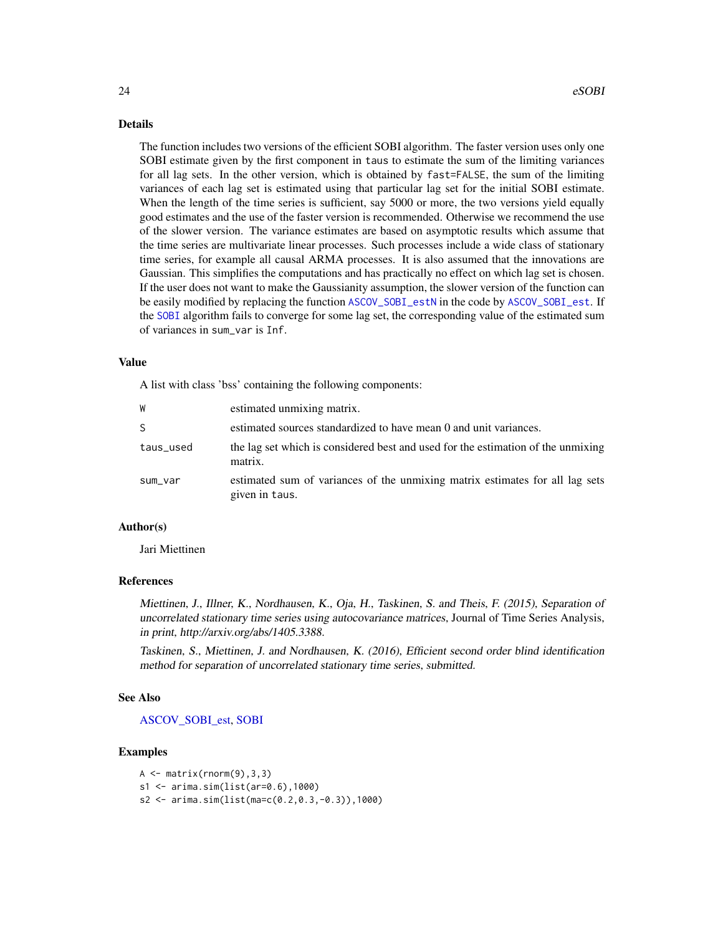#### <span id="page-23-0"></span>Details

The function includes two versions of the efficient SOBI algorithm. The faster version uses only one SOBI estimate given by the first component in taus to estimate the sum of the limiting variances for all lag sets. In the other version, which is obtained by fast=FALSE, the sum of the limiting variances of each lag set is estimated using that particular lag set for the initial SOBI estimate. When the length of the time series is sufficient, say 5000 or more, the two versions yield equally good estimates and the use of the faster version is recommended. Otherwise we recommend the use of the slower version. The variance estimates are based on asymptotic results which assume that the time series are multivariate linear processes. Such processes include a wide class of stationary time series, for example all causal ARMA processes. It is also assumed that the innovations are Gaussian. This simplifies the computations and has practically no effect on which lag set is chosen. If the user does not want to make the Gaussianity assumption, the slower version of the function can be easily modified by replacing the function [ASCOV\\_SOBI\\_estN](#page-17-2) in the code by [ASCOV\\_SOBI\\_est](#page-17-1). If the [SOBI](#page-0-0) algorithm fails to converge for some lag set, the corresponding value of the estimated sum of variances in sum\_var is Inf.

#### Value

A list with class 'bss' containing the following components:

| W         | estimated unmixing matrix.                                                                     |
|-----------|------------------------------------------------------------------------------------------------|
| S.        | estimated sources standardized to have mean 0 and unit variances.                              |
| taus_used | the lag set which is considered best and used for the estimation of the unmixing<br>matrix.    |
| sum_var   | estimated sum of variances of the unmixing matrix estimates for all lag sets<br>given in taus. |

# Author(s)

Jari Miettinen

#### References

Miettinen, J., Illner, K., Nordhausen, K., Oja, H., Taskinen, S. and Theis, F. (2015), Separation of uncorrelated stationary time series using autocovariance matrices, Journal of Time Series Analysis, in print, http://arxiv.org/abs/1405.3388.

Taskinen, S., Miettinen, J. and Nordhausen, K. (2016), Efficient second order blind identification method for separation of uncorrelated stationary time series, submitted.

#### See Also

[ASCOV\\_SOBI\\_est,](#page-17-1) [SOBI](#page-0-0)

# Examples

```
A \leftarrow matrix(rnorm(9), 3, 3)s1 <- arima.sim(list(ar=0.6),1000)
s2 <- arima.sim(list(ma=c(0.2,0.3,-0.3)),1000)
```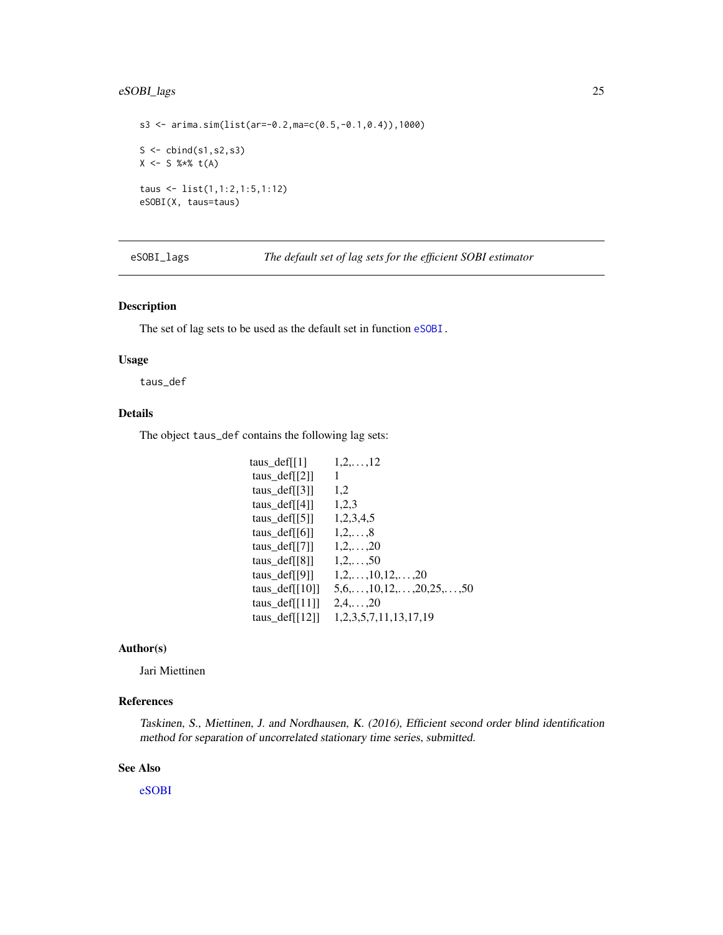# <span id="page-24-0"></span>eSOBI\_lags 25

```
s3 <- arima.sim(list(ar=-0.2,ma=c(0.5,-0.1,0.4)),1000)
S \leftarrow \text{cbind}(s1, s2, s3)X \le - S %*% t(A)taus <- list(1,1:2,1:5,1:12)
eSOBI(X, taus=taus)
```
eSOBI\_lags *The default set of lag sets for the efficient SOBI estimator*

# <span id="page-24-1"></span>Description

The set of lag sets to be used as the default set in function [eSOBI.](#page-22-1)

# Usage

taus\_def

# Details

The object taus\_def contains the following lag sets:

| taus def[[1]         | $1, 2, \ldots, 12$                        |
|----------------------|-------------------------------------------|
| taus_def $[[2]]$     | 1                                         |
| taus_def $[[3]]$     | 1,2                                       |
| taus_def $[[4]]$     | 1,2,3                                     |
| taus $\text{def}[5]$ | 1,2,3,4,5                                 |
| taus def $[6]$       | $1, 2, \ldots, 8$                         |
| taus $\text{def}[7]$ | $1, 2, \ldots, 20$                        |
| taus $\text{def}[8]$ | $1, 2, \ldots, 50$                        |
| taus def[[9]]        | $1, 2, \ldots, 10, 12, \ldots, 20$        |
| taus def $[10]$      | $5,6,\ldots,10,12,\ldots,20,25,\ldots,50$ |
| taus_def $[[11]]$    | $2,4,\ldots,20$                           |
| taus_def $[[12]]$    | 1, 2, 3, 5, 7, 11, 13, 17, 19             |

# Author(s)

Jari Miettinen

# References

Taskinen, S., Miettinen, J. and Nordhausen, K. (2016), Efficient second order blind identification method for separation of uncorrelated stationary time series, submitted.

# See Also

[eSOBI](#page-22-1)